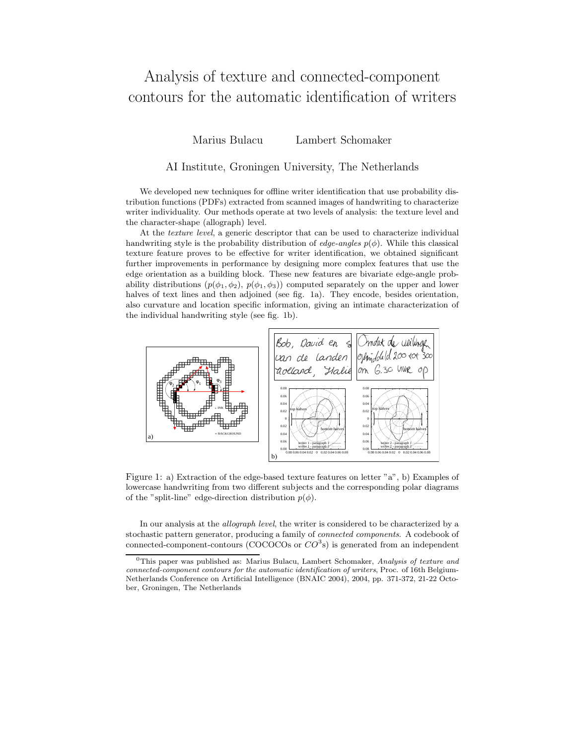## Analysis of texture and connected-component contours for the automatic identification of writers

Marius Bulacu Lambert Schomaker

## AI Institute, Groningen University, The Netherlands

We developed new techniques for offline writer identification that use probability distribution functions (PDFs) extracted from scanned images of handwriting to characterize writer individuality. Our methods operate at two levels of analysis: the texture level and the character-shape (allograph) level.

At the texture level, a generic descriptor that can be used to characterize individual handwriting style is the probability distribution of *edge-angles*  $p(\phi)$ . While this classical texture feature proves to be effective for writer identification, we obtained significant further improvements in performance by designing more complex features that use the edge orientation as a building block. These new features are bivariate edge-angle probability distributions  $(p(\phi_1, \phi_2), p(\phi_1, \phi_3))$  computed separately on the upper and lower halves of text lines and then adjoined (see fig. 1a). They encode, besides orientation, also curvature and location specific information, giving an intimate characterization of the individual handwriting style (see fig. 1b).



Figure 1: a) Extraction of the edge-based texture features on letter "a", b) Examples of lowercase handwriting from two different subjects and the corresponding polar diagrams of the "split-line" edge-direction distribution  $p(\phi)$ .

In our analysis at the allograph level, the writer is considered to be characterized by a stochastic pattern generator, producing a family of connected components. A codebook of connected-component-contours (COCOCOs or  $CO^3$ s) is generated from an independent

 $0$ This paper was published as: Marius Bulacu, Lambert Schomaker, Analysis of texture and connected-component contours for the automatic identification of writers, Proc. of 16th Belgium-Netherlands Conference on Artificial Intelligence (BNAIC 2004), 2004, pp. 371-372, 21-22 October, Groningen, The Netherlands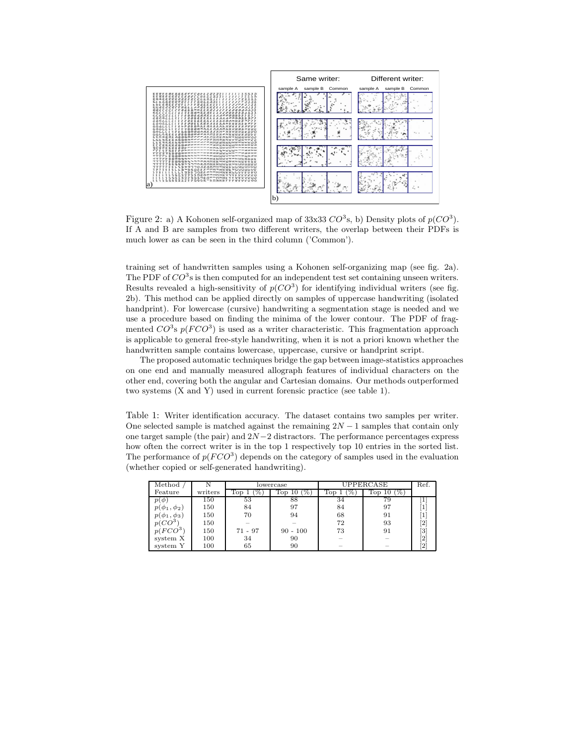

Figure 2: a) A Kohonen self-organized map of 33x33  $CO^3$ s, b) Density plots of  $p(CO^3)$ . If A and B are samples from two different writers, the overlap between their PDFs is much lower as can be seen in the third column ('Common').

training set of handwritten samples using a Kohonen self-organizing map (see fig. 2a). The PDF of  $CO^3$ s is then computed for an independent test set containing unseen writers. Results revealed a high-sensitivity of  $p(CO^3)$  for identifying individual writers (see fig. 2b). This method can be applied directly on samples of uppercase handwriting (isolated handprint). For lowercase (cursive) handwriting a segmentation stage is needed and we use a procedure based on finding the minima of the lower contour. The PDF of fragmented  $CO^3$ s  $p(FCO^3)$  is used as a writer characteristic. This fragmentation approach is applicable to general free-style handwriting, when it is not a priori known whether the handwritten sample contains lowercase, uppercase, cursive or handprint script.

The proposed automatic techniques bridge the gap between image-statistics approaches on one end and manually measured allograph features of individual characters on the other end, covering both the angular and Cartesian domains. Our methods outperformed two systems (X and Y) used in current forensic practice (see table 1).

Table 1: Writer identification accuracy. The dataset contains two samples per writer. One selected sample is matched against the remaining  $2N - 1$  samples that contain only one target sample (the pair) and  $2N-2$  distractors. The performance percentages express how often the correct writer is in the top 1 respectively top 10 entries in the sorted list. The performance of  $p(FCO^3)$  depends on the category of samples used in the evaluation (whether copied or self-generated handwriting).

| Method              |         | lowercase |            | UPPERCASE |     | Ref.                                                                                                                                                           |
|---------------------|---------|-----------|------------|-----------|-----|----------------------------------------------------------------------------------------------------------------------------------------------------------------|
|                     |         |           |            |           |     |                                                                                                                                                                |
| Feature             | writers | TOD       | Top<br>ΠO  | TOD       | 10D |                                                                                                                                                                |
| $p(\phi)$           | 150     | 53        | 88         | 34        | 79  |                                                                                                                                                                |
| $\phi_1, \phi_2$    | 150     | 84        | 97         | 84        | 97  |                                                                                                                                                                |
| $p(\phi_1, \phi_3)$ | 150     | 70        | 94         | 68        | 91  |                                                                                                                                                                |
| $p(CO^3)$           | 150     |           |            | 72        | 93  | $[2] % \includegraphics[width=0.9\columnwidth]{figures/fig_2.pdf} \caption{Schematic diagram of the top of the top of the top of the right.} \label{fig:2}} %$ |
| $p(FCO^3)$          | 150     | $71 - 97$ | $90 - 100$ | 73        | 91  | [3]                                                                                                                                                            |
| system X            | 100     | 34        | 90         |           |     | [2                                                                                                                                                             |
| system Y            | 100     | 65        | 90         | $\sim$    |     | [2]                                                                                                                                                            |